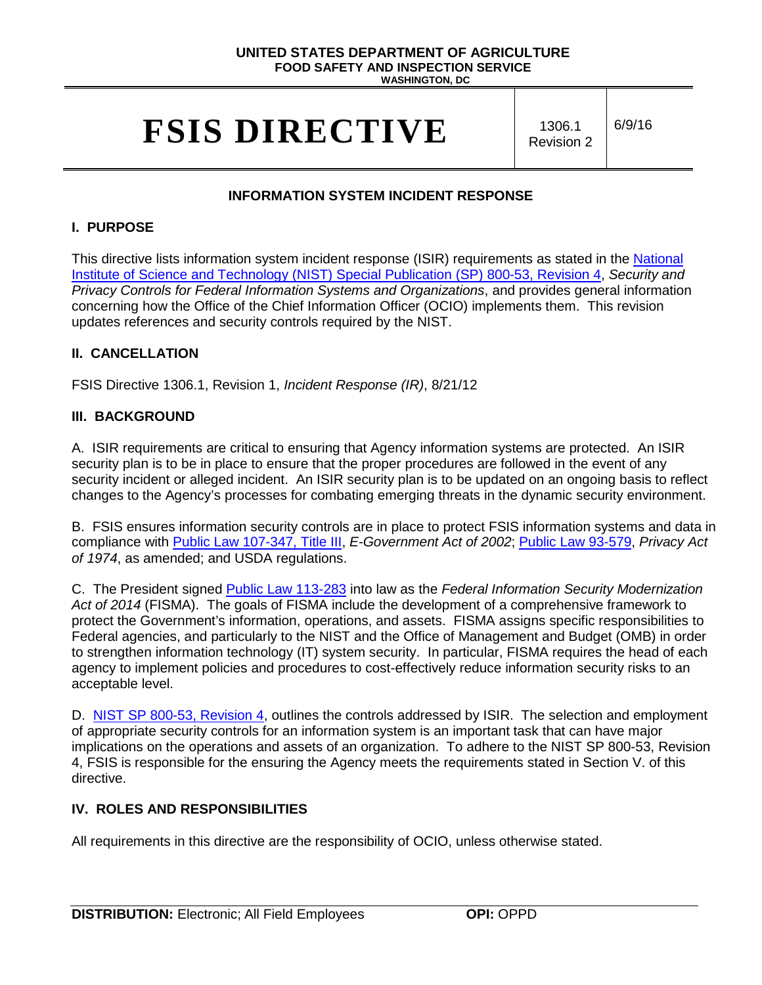# **UNITED STATES DEPARTMENT OF AGRICULTURE FOOD SAFETY AND INSPECTION SERVICE**

**WASHINGTON, DC**

# **FSIS DIRECTIVE** 1306.1

Revision 2

6/9/16

# **INFORMATION SYSTEM INCIDENT RESPONSE**

#### **I. PURPOSE**

This directive lists information system incident response (ISIR) requirements as stated in the National [Institute of Science and Technology \(NIST\) Special Publication \(SP\)](http://nvlpubs.nist.gov/nistpubs/SpecialPublications/NIST.SP.800-53r4.pdf) 800-53, Revision 4, *Security and Privacy Controls for Federal Information Systems and Organizations*, and provides general information concerning how the Office of the Chief Information Officer (OCIO) implements them. This revision updates references and security controls required by the NIST.

### **II. CANCELLATION**

FSIS Directive 1306.1, Revision 1, *Incident Response (IR)*, 8/21/12

#### **III. BACKGROUND**

A. ISIR requirements are critical to ensuring that Agency information systems are protected. An ISIR security plan is to be in place to ensure that the proper procedures are followed in the event of any security incident or alleged incident. An ISIR security plan is to be updated on an ongoing basis to reflect changes to the Agency's processes for combating emerging threats in the dynamic security environment.

B. FSIS ensures information security controls are in place to protect FSIS information systems and data in compliance with [Public Law 107-347, Title III,](http://www.gpo.gov/fdsys/pkg/PLAW-107publ347/pdf/PLAW-107publ347.pdf) *E-Government Act of 2002*; [Public Law 93-579,](http://www.justice.gov/opcl/privacy-act-1974) *Privacy Act of 1974*, as amended; and USDA regulations.

C. The President signed [Public Law 113-283](https://www.congress.gov/113/plaws/publ283/PLAW-113publ283.pdf) into law as the *Federal Information Security Modernization Act of 2014* (FISMA). The goals of FISMA include the development of a comprehensive framework to protect the Government's information, operations, and assets. FISMA assigns specific responsibilities to Federal agencies, and particularly to the NIST and the Office of Management and Budget (OMB) in order to strengthen information technology (IT) system security. In particular, FISMA requires the head of each agency to implement policies and procedures to cost-effectively reduce information security risks to an acceptable level.

D. NIST SP [800-53, Revision 4,](http://nvlpubs.nist.gov/nistpubs/SpecialPublications/NIST.SP.800-53r4.pdf) outlines the controls addressed by ISIR. The selection and employment of appropriate security controls for an information system is an important task that can have major implications on the operations and assets of an organization. To adhere to the NIST SP 800-53, Revision 4, FSIS is responsible for the ensuring the Agency meets the requirements stated in Section V. of this directive.

# **IV. ROLES AND RESPONSIBILITIES**

All requirements in this directive are the responsibility of OCIO, unless otherwise stated.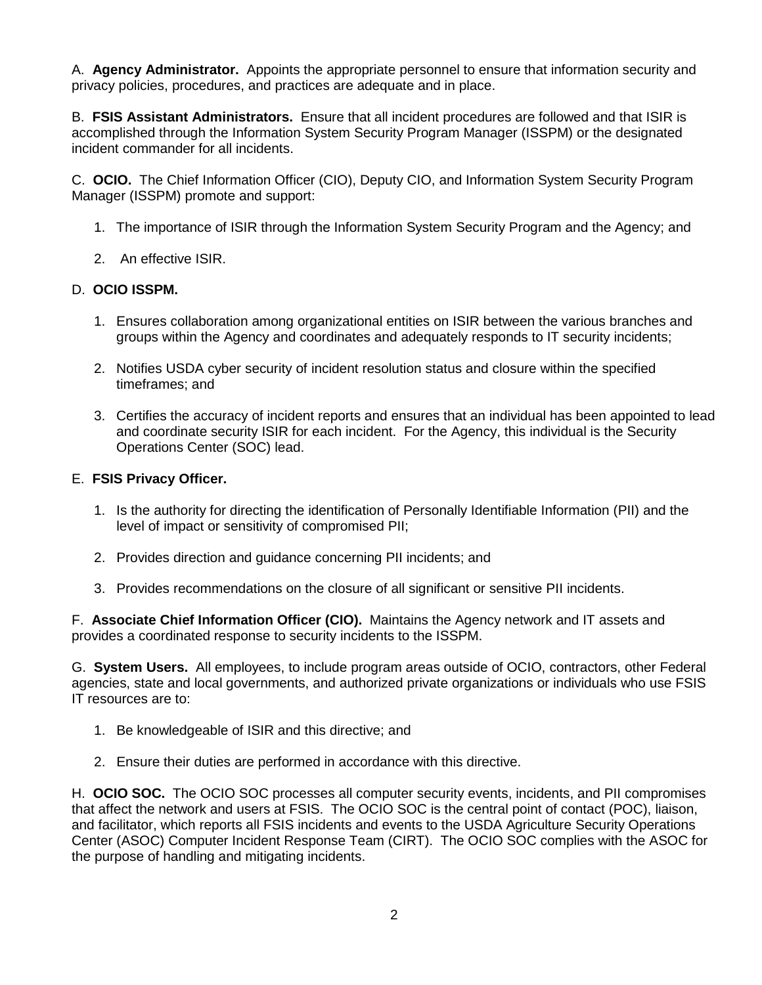A. **Agency Administrator.** Appoints the appropriate personnel to ensure that information security and privacy policies, procedures, and practices are adequate and in place.

B. **FSIS Assistant Administrators.** Ensure that all incident procedures are followed and that ISIR is accomplished through the Information System Security Program Manager (ISSPM) or the designated incident commander for all incidents.

C. **OCIO.** The Chief Information Officer (CIO), Deputy CIO, and Information System Security Program Manager (ISSPM) promote and support:

- 1. The importance of ISIR through the Information System Security Program and the Agency; and
- 2. An effective ISIR.

### D. **OCIO ISSPM.**

- 1. Ensures collaboration among organizational entities on ISIR between the various branches and groups within the Agency and coordinates and adequately responds to IT security incidents;
- 2. Notifies USDA cyber security of incident resolution status and closure within the specified timeframes; and
- 3. Certifies the accuracy of incident reports and ensures that an individual has been appointed to lead and coordinate security ISIR for each incident. For the Agency, this individual is the Security Operations Center (SOC) lead.

#### E. **FSIS Privacy Officer.**

- 1. Is the authority for directing the identification of Personally Identifiable Information (PII) and the level of impact or sensitivity of compromised PII;
- 2. Provides direction and guidance concerning PII incidents; and
- 3. Provides recommendations on the closure of all significant or sensitive PII incidents.

F. **Associate Chief Information Officer (CIO).** Maintains the Agency network and IT assets and provides a coordinated response to security incidents to the ISSPM.

G. **System Users.** All employees, to include program areas outside of OCIO, contractors, other Federal agencies, state and local governments, and authorized private organizations or individuals who use FSIS IT resources are to:

- 1. Be knowledgeable of ISIR and this directive; and
- 2. Ensure their duties are performed in accordance with this directive.

H. **OCIO SOC.** The OCIO SOC processes all computer security events, incidents, and PII compromises that affect the network and users at FSIS. The OCIO SOC is the central point of contact (POC), liaison, and facilitator, which reports all FSIS incidents and events to the USDA Agriculture Security Operations Center (ASOC) Computer Incident Response Team (CIRT). The OCIO SOC complies with the ASOC for the purpose of handling and mitigating incidents.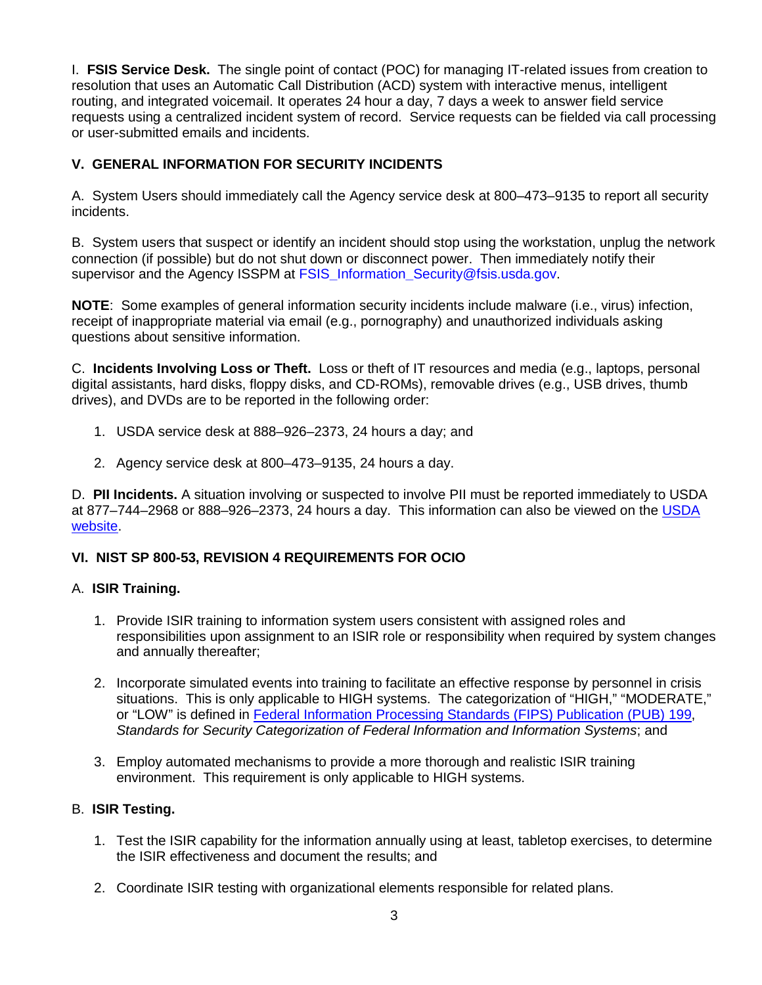I. **FSIS Service Desk.** The single point of contact (POC) for managing IT-related issues from creation to resolution that uses an Automatic Call Distribution (ACD) system with interactive menus, intelligent routing, and integrated voicemail. It operates 24 hour a day, 7 days a week to answer field service requests using a centralized incident system of record. Service requests can be fielded via call processing or user-submitted emails and incidents.

# **V. GENERAL INFORMATION FOR SECURITY INCIDENTS**

A. System Users should immediately call the Agency service desk at 800–473–9135 to report all security incidents.

B. System users that suspect or identify an incident should stop using the workstation, unplug the network connection (if possible) but do not shut down or disconnect power. Then immediately notify their supervisor and the Agency ISSPM at FSIS**\_**Information**\_**[Security@fsis.usda.gov.](mailto:FSIS_Information_Security@fsis.usda.gov)

**NOTE**: Some examples of general information security incidents include malware (i.e., virus) infection, receipt of inappropriate material via email (e.g., pornography) and unauthorized individuals asking questions about sensitive information.

C. **Incidents Involving Loss or Theft.** Loss or theft of IT resources and media (e.g., laptops, personal digital assistants, hard disks, floppy disks, and CD-ROMs), removable drives (e.g., USB drives, thumb drives), and DVDs are to be reported in the following order:

- 1. USDA service desk at 888–926–2373, 24 hours a day; and
- 2. Agency service desk at 800–473–9135, 24 hours a day.

D. **PII Incidents.** A situation involving or suspected to involve PII must be reported immediately to USDA at 877–744–2968 or 888–926–2373, 24 hours a day. This information can also be viewed on the [USDA](http://www.usda.gov/wps/portal/usda/usdahome?navid=USDAPII)  [website.](http://www.usda.gov/wps/portal/usda/usdahome?navid=USDAPII)

# **VI. NIST SP 800-53, REVISION 4 REQUIREMENTS FOR OCIO**

#### A. **ISIR Training.**

- 1. Provide ISIR training to information system users consistent with assigned roles and responsibilities upon assignment to an ISIR role or responsibility when required by system changes and annually thereafter;
- 2. Incorporate simulated events into training to facilitate an effective response by personnel in crisis situations. This is only applicable to HIGH systems. The categorization of "HIGH," "MODERATE," or "LOW" is defined in [Federal Information Processing Standards \(FIPS\) Publication \(PUB\) 199,](http://csrc.nist.gov/publications/fips/fips199/FIPS-PUB-199-final.pdf) *Standards for Security Categorization of Federal Information and Information Systems*; and
- 3. Employ automated mechanisms to provide a more thorough and realistic ISIR training environment. This requirement is only applicable to HIGH systems.

#### B. **ISIR Testing.**

- 1. Test the ISIR capability for the information annually using at least, tabletop exercises, to determine the ISIR effectiveness and document the results; and
- 2. Coordinate ISIR testing with organizational elements responsible for related plans.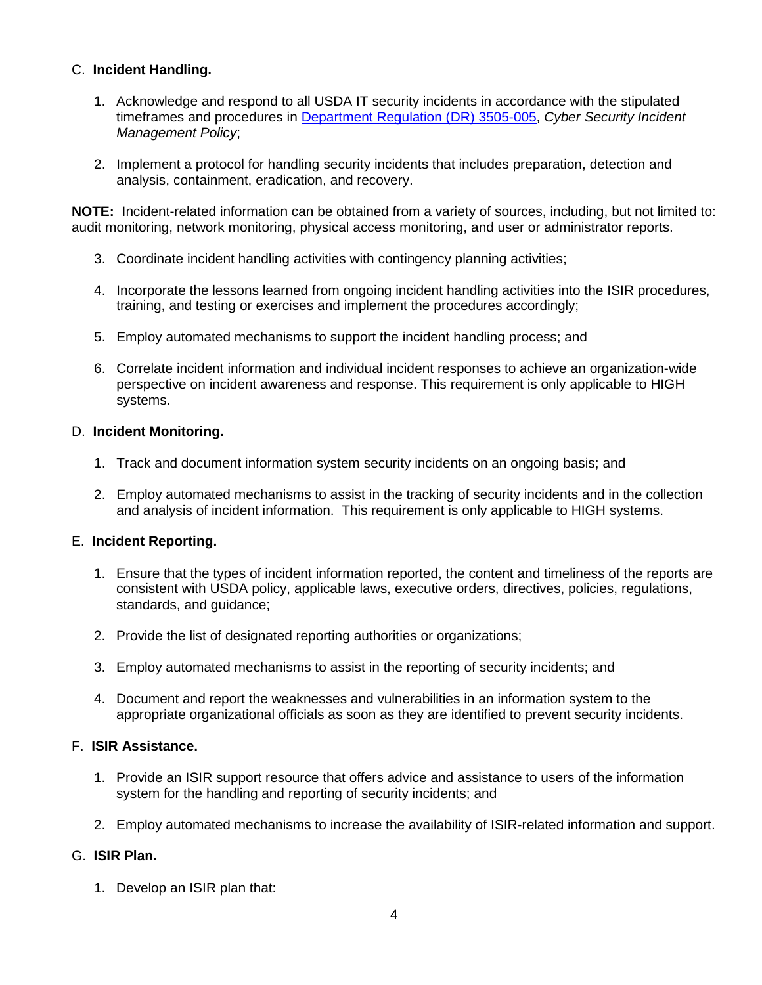### C. **Incident Handling.**

- 1. Acknowledge and respond to all USDA IT security incidents in accordance with the stipulated timeframes and procedures in [Department Regulation \(DR\) 3505-005,](http://www.ocio.usda.gov/sites/default/files/docs/2012/DR3505-005_Cyber_Security_Incident_Management_Policy_v.pdf) *Cyber Security Incident Management Policy*;
- 2. Implement a protocol for handling security incidents that includes preparation, detection and analysis, containment, eradication, and recovery.

**NOTE:** Incident-related information can be obtained from a variety of sources, including, but not limited to: audit monitoring, network monitoring, physical access monitoring, and user or administrator reports.

- 3. Coordinate incident handling activities with contingency planning activities;
- 4. Incorporate the lessons learned from ongoing incident handling activities into the ISIR procedures, training, and testing or exercises and implement the procedures accordingly;
- 5. Employ automated mechanisms to support the incident handling process; and
- 6. Correlate incident information and individual incident responses to achieve an organization-wide perspective on incident awareness and response. This requirement is only applicable to HIGH systems.

#### D. **Incident Monitoring.**

- 1. Track and document information system security incidents on an ongoing basis; and
- 2. Employ automated mechanisms to assist in the tracking of security incidents and in the collection and analysis of incident information. This requirement is only applicable to HIGH systems.

#### E. **Incident Reporting.**

- 1. Ensure that the types of incident information reported, the content and timeliness of the reports are consistent with USDA policy, applicable laws, executive orders, directives, policies, regulations, standards, and guidance;
- 2. Provide the list of designated reporting authorities or organizations;
- 3. Employ automated mechanisms to assist in the reporting of security incidents; and
- 4. Document and report the weaknesses and vulnerabilities in an information system to the appropriate organizational officials as soon as they are identified to prevent security incidents.

### F. **ISIR Assistance.**

- 1. Provide an ISIR support resource that offers advice and assistance to users of the information system for the handling and reporting of security incidents; and
- 2. Employ automated mechanisms to increase the availability of ISIR-related information and support.

#### G. **ISIR Plan.**

1. Develop an ISIR plan that: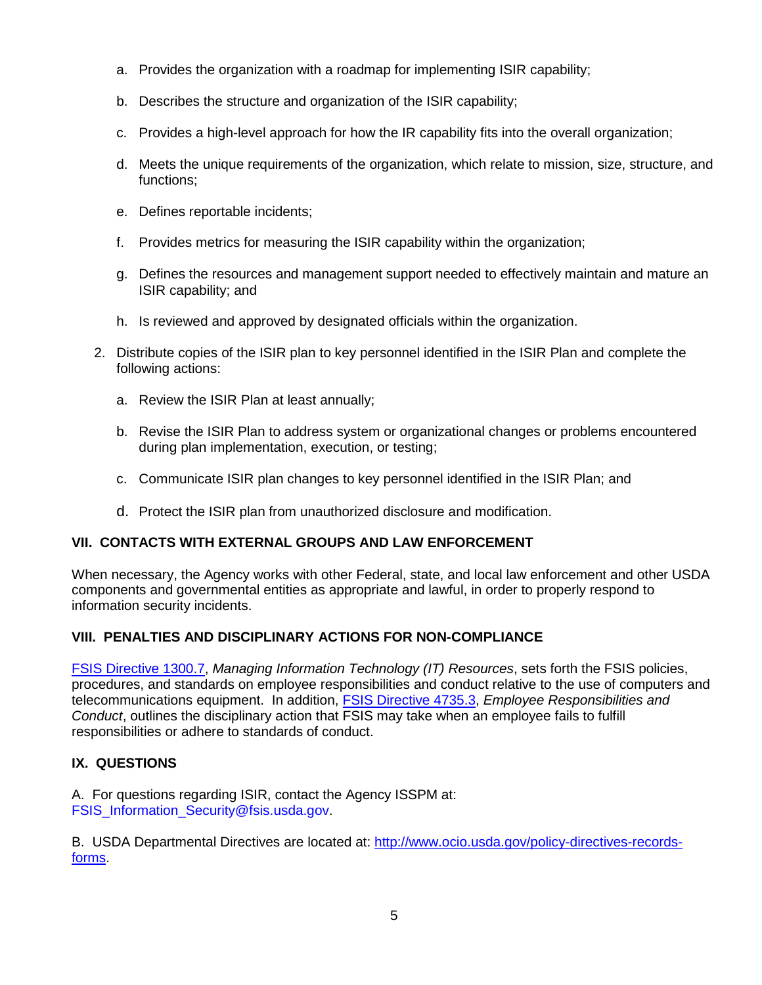- a. Provides the organization with a roadmap for implementing ISIR capability;
- b. Describes the structure and organization of the ISIR capability;
- c. Provides a high-level approach for how the IR capability fits into the overall organization;
- d. Meets the unique requirements of the organization, which relate to mission, size, structure, and functions;
- e. Defines reportable incidents;
- f. Provides metrics for measuring the ISIR capability within the organization;
- g. Defines the resources and management support needed to effectively maintain and mature an ISIR capability; and
- h. Is reviewed and approved by designated officials within the organization.
- 2. Distribute copies of the ISIR plan to key personnel identified in the ISIR Plan and complete the following actions:
	- a. Review the ISIR Plan at least annually;
	- b. Revise the ISIR Plan to address system or organizational changes or problems encountered during plan implementation, execution, or testing;
	- c. Communicate ISIR plan changes to key personnel identified in the ISIR Plan; and
	- d. Protect the ISIR plan from unauthorized disclosure and modification.

# **VII. CONTACTS WITH EXTERNAL GROUPS AND LAW ENFORCEMENT**

When necessary, the Agency works with other Federal, state, and local law enforcement and other USDA components and governmental entities as appropriate and lawful, in order to properly respond to information security incidents.

# **VIII. PENALTIES AND DISCIPLINARY ACTIONS FOR NON-COMPLIANCE**

[FSIS Directive 1300.7,](http://www.fsis.usda.gov/wps/wcm/connect/b3406ba7-305f-4ff9-b513-ef212423afb8/1300.7.pdf?MOD=AJPERES) *Managing Information Technology (IT) Resources*, sets forth the FSIS policies, procedures, and standards on employee responsibilities and conduct relative to the use of computers and telecommunications equipment. In addition, [FSIS Directive 4735.3,](http://www.fsis.usda.gov/wps/wcm/connect/98f86e3d-4c63-403a-ba33-650d9c79f1f2/4735.3.pdf?MOD=AJPERES) *Employee Responsibilities and Conduct*, outlines the disciplinary action that FSIS may take when an employee fails to fulfill responsibilities or adhere to standards of conduct.

# **IX. QUESTIONS**

A. For questions regarding ISIR, contact the Agency ISSPM at: FSIS Information Security@fsis.usda.gov.

B. USDA Departmental Directives are located at: [http://www.ocio.usda.gov/policy-directives-records](http://www.ocio.usda.gov/policy-directives-records-forms)[forms.](http://www.ocio.usda.gov/policy-directives-records-forms)